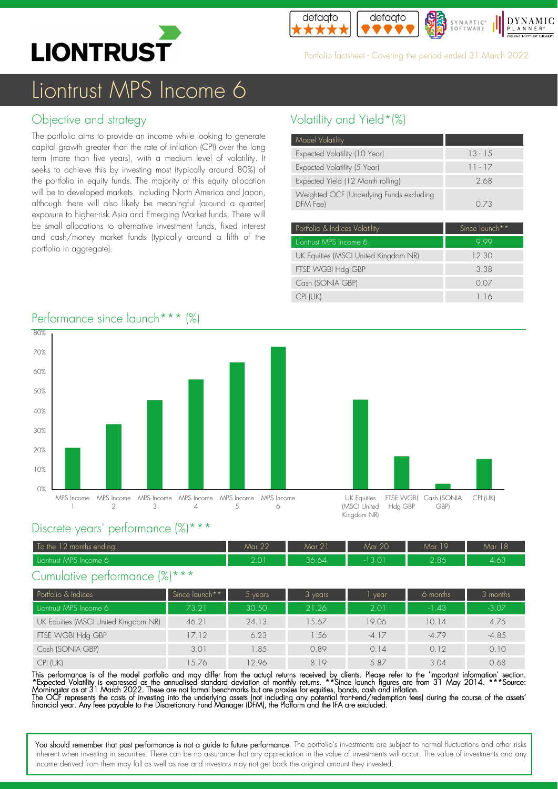



Portfolio factsheet - Covering the period ended 31 March 2022.

# Liontrust MPS Income 6

## Objective and strategy

The portfolio aims to provide an income while looking to generate capital growth greater than the rate of inflation (CPI) over the long term (more than five years), with a medium level of volatility. It seeks to achieve this by investing most (typically around 80%) of the portfolio in equity funds. The majority of this equity allocation will be to developed markets, including North America and Japan, although there will also likely be meaningful (around a quarter) exposure to higher-risk Asia and Emerging Market funds. There will be small allocations to alternative investment funds, fixed interest and cash/money market funds (typically around a fifth of the portfolio in aggregate).

## Volatility and Yield\*(%)

| Model Volatility                                     |                    |
|------------------------------------------------------|--------------------|
| Expected Volatility (10 Year)                        | $13 - 15$          |
| Expected Volatility (5 Year)                         | $11 - 17$          |
| Expected Yield (12 Month rolling)                    | 2.68               |
| Weighted OCF (Underlying Funds excluding<br>DFM Feel | 0.73               |
| - Portfolio 8. Indicas Volatility                    | $Sinca$ $a$ unch** |

| Portfolio & Indices Volatility       | Since launch <sup>**</sup> |
|--------------------------------------|----------------------------|
| Liontrust MPS Income 6               | 999                        |
| UK Equities (MSCI United Kingdom NR) | 12.30                      |
| FTSE WGBI Hdg GBP                    | 3.38                       |
| Cash (SONIA GBP)                     | 0.07                       |
| CPI (UK)                             | 1.16                       |





#### Discrete years' performance (%)\*\*\*

| To the 12 months ending: | Mar 22          | Mar 21 | <b>Mar 20</b> | Mar 19 | $\sqrt{2}$<br>Mar 18 |
|--------------------------|-----------------|--------|---------------|--------|----------------------|
| Liontrust MPS Income 6   | $\cap$ $\cap$ 1 | 36.64  | 13.01         | 2.86   | 1/2<br>$-4.05$       |

#### Cumulative performance (%)\*\*\*

| Portfolio & Indices                  | Since launch** | vears | $3$ years | vear    | 6 months | 3 months |
|--------------------------------------|----------------|-------|-----------|---------|----------|----------|
| Liontrust MPS Income 6               | 73.21          | 30.50 | 21.26     | 2.01    | $-1.43$  | $-3.07$  |
| UK Equities (MSCI United Kingdom NR) | 46.21          | 24.13 | 15.67     | 19.06   | 10.14    | 4.75     |
| FTSE WGBI Hdg GBP                    | 17.12          | 6.23  | .56       | $-4.17$ | $-4.79$  | $-4.85$  |
| Cash (SONIA GBP)                     | 3.01           | 1.85  | 0.89      | 0.14    | 0.12     | 0.10     |
| CPI (UK)                             | 1.5.76         | 2.96  | 819       | 5.87    | 3.04     | 0.68     |

This performance is of the model portfolio and may differ from the actual returns received by clients. Please refer to the 'Important information' section. \*Expected Volatility is expressed as the annualised standard deviation of monthly returns. \*\*Since launch tigures are from 31 May 2014. \*\*\*Source:<br>Morningstar as at 31 March 2022. These are not formal benchmarks but are pr The OCF represents the costs of investing into the underlying assets (not including any potential tront-end/redemption tees) during the course of the assets'<br>financial year. Any fees payable to the Discretionary Fund Manag

You should remember that past performance is not a guide to future performance. The portfolio's investments are subject to normal fluctuations and other risks inherent when investing in securities. There can be no assurance that any appreciation in the value of investments will occur. The value of investments and any income derived from them may fall as well as rise and investors may not get back the original amount they invested.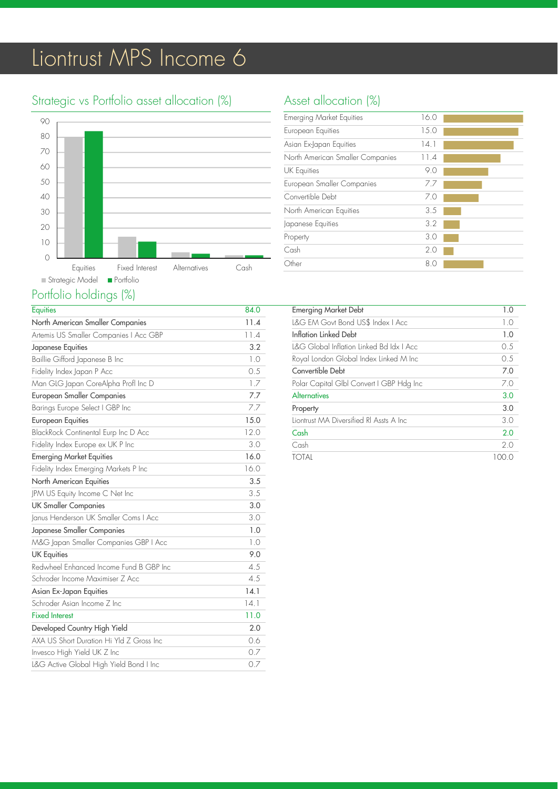# Liontrust MPS Income 6

# Strategic vs Portfolio asset allocation (%)



## Portfolio holdings (%)

| <b>Equities</b>                          | 84.0 |
|------------------------------------------|------|
| North American Smaller Companies         | 11.4 |
| Artemis US Smaller Companies   Acc GBP   | 11.4 |
| Japanese Equities                        | 3.2  |
| Baillie Gifford Japanese B Inc           | 1.0  |
| Fidelity Index Japan P Acc               | 0.5  |
| Man GLG Japan CoreAlpha Profl Inc D      | 1.7  |
| <b>European Smaller Companies</b>        | 7.7  |
| Barings Europe Select I GBP Inc          | 7.7  |
| <b>European Equities</b>                 | 15.0 |
| BlackRock Continental Eurp Inc D Acc     | 12.0 |
| Fidelity Index Europe ex UK P Inc        | 3.0  |
| <b>Emerging Market Equities</b>          | 16.0 |
| Fidelity Index Emerging Markets P Inc    | 16.0 |
| North American Equities                  | 3.5  |
| JPM US Equity Income C Net Inc           | 3.5  |
| <b>UK Smaller Companies</b>              | 3.0  |
| Janus Henderson UK Smaller Coms I Acc    | 3.0  |
| Japanese Smaller Companies               | 1.0  |
| M&G Japan Smaller Companies GBP   Acc    | 1.0  |
| <b>UK Equities</b>                       | 9.0  |
| Redwheel Enhanced Income Fund B GBP Inc  | 4.5  |
| Schroder Income Maximiser Z Acc          | 4.5  |
| Asian Ex-Japan Equities                  | 14.1 |
| Schroder Asian Income Z Inc              | 14.1 |
| <b>Fixed Interest</b>                    | 11.0 |
| Developed Country High Yield             | 2.0  |
| AXA US Short Duration Hi Yld Z Gross Inc | 0.6  |
| Invesco High Yield UK Z Inc              | 0.7  |
| L&G Active Global High Yield Bond I Inc  | 0.7  |

# Asset allocation (%)

| <b>Emerging Market Equities</b>   | 16.0 |
|-----------------------------------|------|
| European Equities                 | 15.0 |
| Asian Ex-Japan Equities           | 14.1 |
| North American Smaller Companies  | 11.4 |
| <b>UK Equities</b>                | 9.0  |
| <b>European Smaller Companies</b> | 77   |
| Convertible Debt                  | 7.0  |
| North American Equities           | 3.5  |
| Japanese Equities                 | 3.2  |
| Property                          | 3.0  |
| Cash                              | 2.0  |
| Other                             | 8 C  |

| <b>Emerging Market Debt</b>              | 1.0   |
|------------------------------------------|-------|
| L&G EM Govt Bond US\$ Index   Acc        | 1.0   |
| Inflation Linked Debt                    | 1.0   |
| I&G Global Inflation Linked Bd Idx I Acc | 0.5   |
| Royal London Global Index Linked M Inc   | 0.5   |
| Convertible Debt                         | 7.0   |
| Polar Capital GIbl Convert I GBP Hdg Inc | 7.0   |
| Alternatives                             | 3.0   |
| Property                                 | 3.0   |
| Liontrust MA Diversified RI Assts A Inc. | 3.0   |
| Cash                                     | 2.0   |
| Cash                                     | 2.0   |
| TOTAI                                    | 100.O |